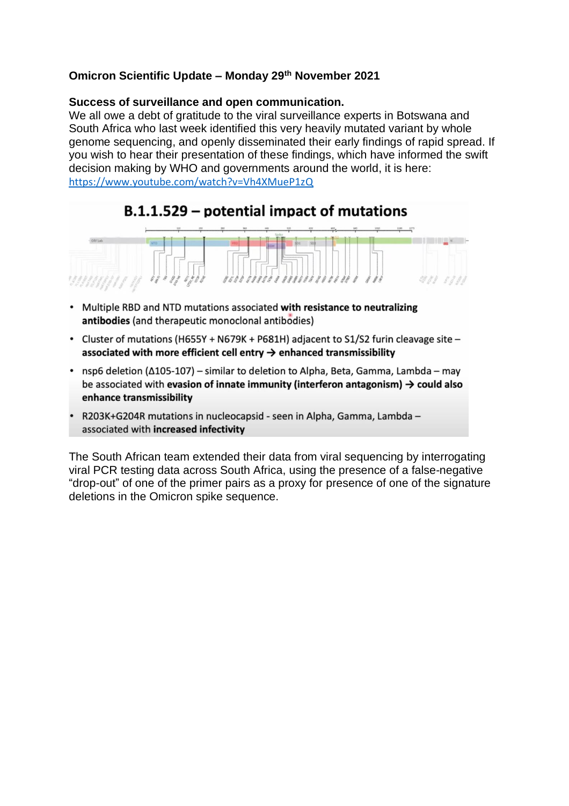## **Omicron Scientific Update – Monday 29th November 2021**

## **Success of surveillance and open communication.**

We all owe a debt of gratitude to the viral surveillance experts in Botswana and South Africa who last week identified this very heavily mutated variant by whole genome sequencing, and openly disseminated their early findings of rapid spread. If you wish to hear their presentation of these findings, which have informed the swift decision making by WHO and governments around the world, it is here: https://www.youtube.com/watch?v=Vh4XMueP1zQ

## B.1.1.529 – potential impact of mutations



- Multiple RBD and NTD mutations associated with resistance to neutralizing antibodies (and therapeutic monoclonal antibodies)
- Cluster of mutations (H655Y + N679K + P681H) adjacent to S1/S2 furin cleavage site associated with more efficient cell entry  $\rightarrow$  enhanced transmissibility
- nsp6 deletion ( $\Delta$ 105-107) similar to deletion to Alpha, Beta, Gamma, Lambda may be associated with evasion of innate immunity (interferon antagonism)  $\rightarrow$  could also enhance transmissibility
- R203K+G204R mutations in nucleocapsid seen in Alpha, Gamma, Lambda associated with increased infectivity

The South African team extended their data from viral sequencing by interrogating viral PCR testing data across South Africa, using the presence of a false-negative "drop-out" of one of the primer pairs as a proxy for presence of one of the signature deletions in the Omicron spike sequence.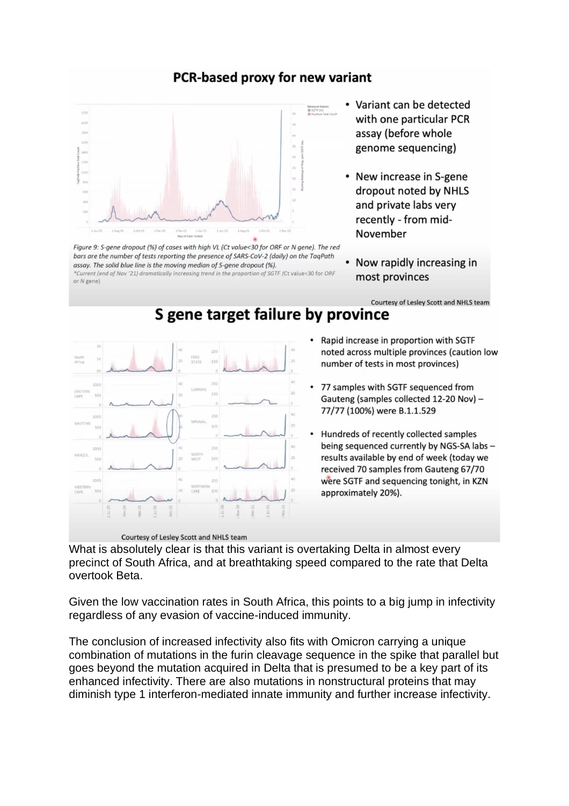## PCR-based proxy for new variant

S gene target failure by province



Figure 9: S-gene dropout (%) of cases with high VL (Ct value<30 for ORF or N gene). The red bars are the number of tests reporting the presence of SARS-CoV-2 (daily) on the TaqPath assay. The solid blue line is the moving median of S-gene dropout (%). \*Current (end of Nov '21) dramatically increasing trend in the proportion of SGTF (Ct value<30 for ORF or N gene)

- Variant can be detected with one particular PCR assay (before whole genome sequencing)
- New increase in S-gene dropout noted by NHLS and private labs very recently - from mid-November
- Now rapidly increasing in  $\bullet$ most provinces

Courtesy of Lesley Scott and NHLS team



- Rapid increase in proportion with SGTF noted across multiple provinces (caution low number of tests in most provinces)
- 77 samples with SGTF sequenced from Gauteng (samples collected 12-20 Nov) -77/77 (100%) were B.1.1.529
- Hundreds of recently collected samples being sequenced currently by NGS-SA labs results available by end of week (today we received 70 samples from Gauteng 67/70 were SGTF and sequencing tonight, in KZN approximately 20%).

What is absolutely clear is that this variant is overtaking Delta in almost every precinct of South Africa, and at breathtaking speed compared to the rate that Delta overtook Beta.

Given the low vaccination rates in South Africa, this points to a big jump in infectivity regardless of any evasion of vaccine-induced immunity.

The conclusion of increased infectivity also fits with Omicron carrying a unique combination of mutations in the furin cleavage sequence in the spike that parallel but goes beyond the mutation acquired in Delta that is presumed to be a key part of its enhanced infectivity. There are also mutations in nonstructural proteins that may diminish type 1 interferon-mediated innate immunity and further increase infectivity.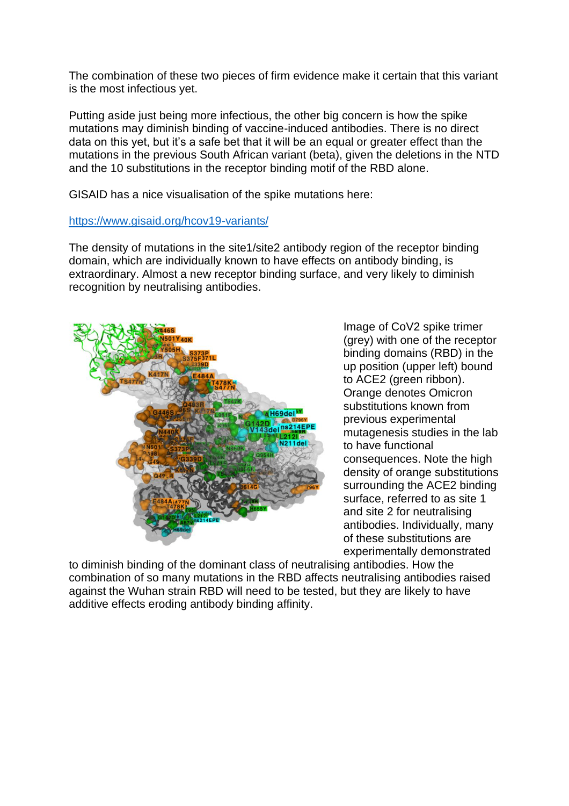The combination of these two pieces of firm evidence make it certain that this variant is the most infectious yet.

Putting aside just being more infectious, the other big concern is how the spike mutations may diminish binding of vaccine-induced antibodies. There is no direct data on this yet, but it's a safe bet that it will be an equal or greater effect than the mutations in the previous South African variant (beta), given the deletions in the NTD and the 10 substitutions in the receptor binding motif of the RBD alone.

GISAID has a nice visualisation of the spike mutations here:

<https://www.gisaid.org/hcov19-variants/>

The density of mutations in the site1/site2 antibody region of the receptor binding domain, which are individually known to have effects on antibody binding, is extraordinary. Almost a new receptor binding surface, and very likely to diminish recognition by neutralising antibodies.



Image of CoV2 spike trimer (grey) with one of the receptor binding domains (RBD) in the up position (upper left) bound to ACE2 (green ribbon). Orange denotes Omicron substitutions known from previous experimental mutagenesis studies in the lab to have functional consequences. Note the high density of orange substitutions surrounding the ACE2 binding surface, referred to as site 1 and site 2 for neutralising antibodies. Individually, many of these substitutions are experimentally demonstrated

to diminish binding of the dominant class of neutralising antibodies. How the combination of so many mutations in the RBD affects neutralising antibodies raised against the Wuhan strain RBD will need to be tested, but they are likely to have additive effects eroding antibody binding affinity.